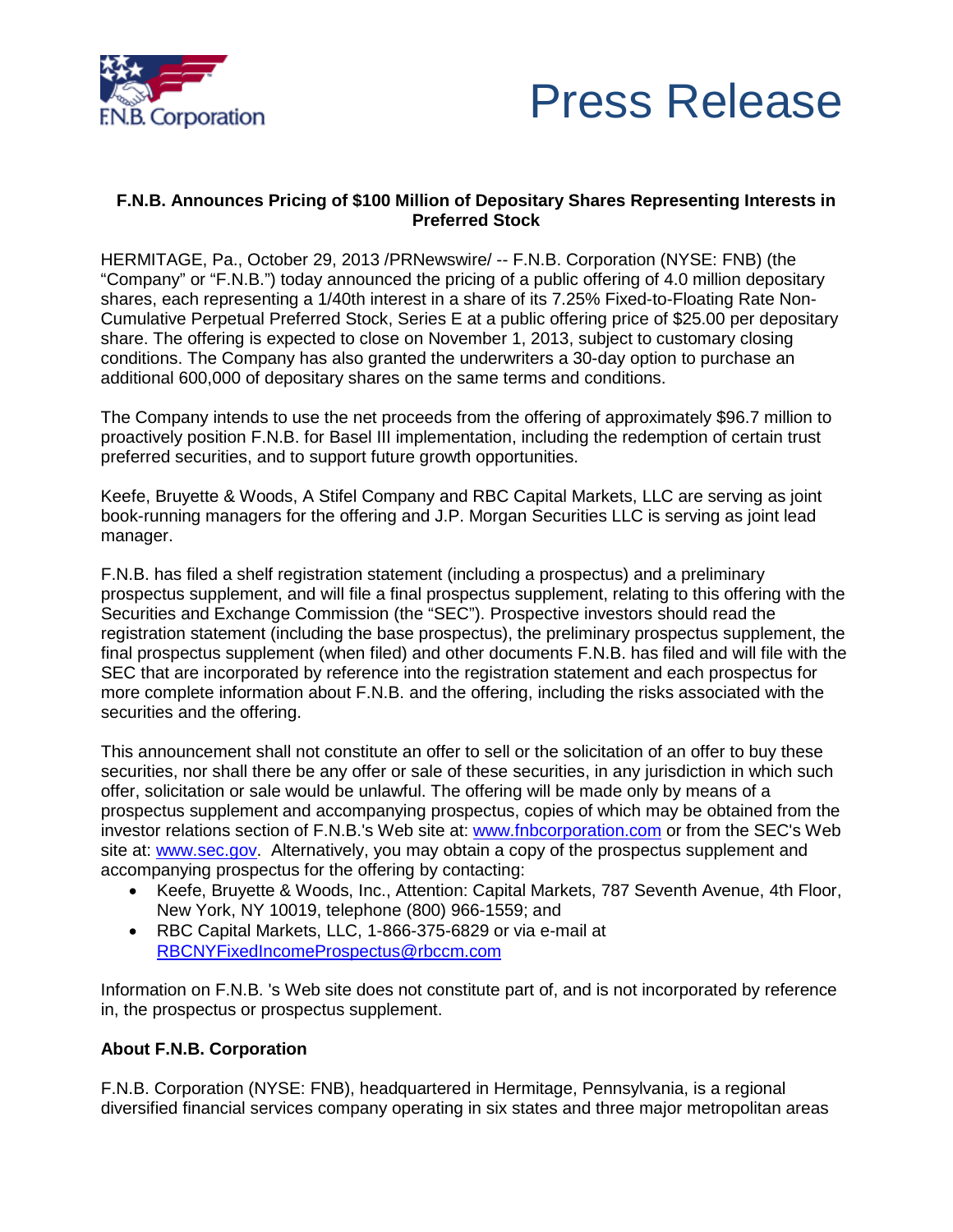



## **F.N.B. Announces Pricing of \$100 Million of Depositary Shares Representing Interests in Preferred Stock**

HERMITAGE, Pa., October 29, 2013 /PRNewswire/ -- F.N.B. Corporation (NYSE: FNB) (the "Company" or "F.N.B.") today announced the pricing of a public offering of 4.0 million depositary shares, each representing a 1/40th interest in a share of its 7.25% Fixed-to-Floating Rate Non-Cumulative Perpetual Preferred Stock, Series E at a public offering price of \$25.00 per depositary share. The offering is expected to close on November 1, 2013, subject to customary closing conditions. The Company has also granted the underwriters a 30-day option to purchase an additional 600,000 of depositary shares on the same terms and conditions.

The Company intends to use the net proceeds from the offering of approximately \$96.7 million to proactively position F.N.B. for Basel III implementation, including the redemption of certain trust preferred securities, and to support future growth opportunities.

Keefe, Bruyette & Woods, A Stifel Company and RBC Capital Markets, LLC are serving as joint book-running managers for the offering and J.P. Morgan Securities LLC is serving as joint lead manager.

F.N.B. has filed a shelf registration statement (including a prospectus) and a preliminary prospectus supplement, and will file a final prospectus supplement, relating to this offering with the Securities and Exchange Commission (the "SEC"). Prospective investors should read the registration statement (including the base prospectus), the preliminary prospectus supplement, the final prospectus supplement (when filed) and other documents F.N.B. has filed and will file with the SEC that are incorporated by reference into the registration statement and each prospectus for more complete information about F.N.B. and the offering, including the risks associated with the securities and the offering.

This announcement shall not constitute an offer to sell or the solicitation of an offer to buy these securities, nor shall there be any offer or sale of these securities, in any jurisdiction in which such offer, solicitation or sale would be unlawful. The offering will be made only by means of a prospectus supplement and accompanying prospectus, copies of which may be obtained from the investor relations section of F.N.B.'s Web site at: www.fnbcorporation.com or from the SEC's Web site at: www.sec.gov. Alternatively, you may obtain a copy of the prospectus supplement and accompanying prospectus for the offering by contacting:

- Keefe, Bruyette & Woods, Inc., Attention: Capital Markets, 787 Seventh Avenue, 4th Floor, New York, NY 10019, telephone (800) 966-1559; and
- RBC Capital Markets, LLC, 1-866-375-6829 or via e-mail at [RBCNYFixedIncomeProspectus@rbccm.com](mailto:RBCNYFixedIncomeProspectus@rbccm.com)

Information on F.N.B. 's Web site does not constitute part of, and is not incorporated by reference in, the prospectus or prospectus supplement.

## **About F.N.B. Corporation**

F.N.B. Corporation (NYSE: FNB), headquartered in Hermitage, Pennsylvania, is a regional diversified financial services company operating in six states and three major metropolitan areas